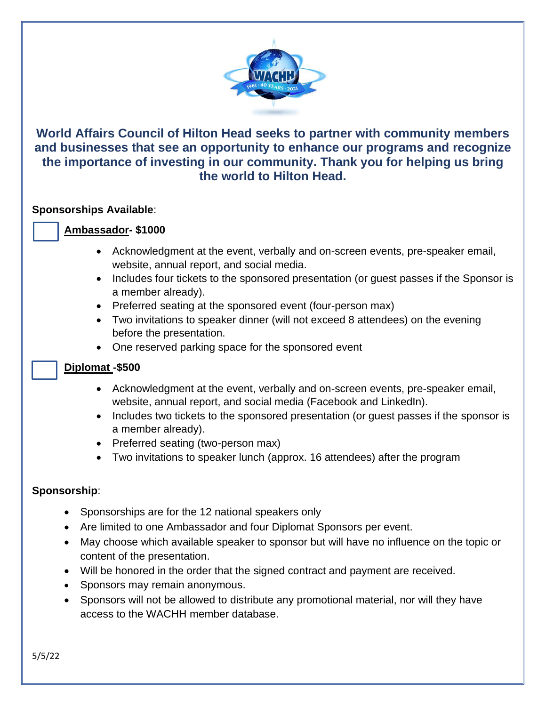

# **World Affairs Council of Hilton Head seeks to partner with community members and businesses that see an opportunity to enhance our programs and recognize the importance of investing in our community. Thank you for helping us bring the world to Hilton Head.**

### **Sponsorships Available**:

### **Ambassador- \$1000**

- Acknowledgment at the event, verbally and on-screen events, pre-speaker email, website, annual report, and social media.
- Includes four tickets to the sponsored presentation (or guest passes if the Sponsor is a member already).
- Preferred seating at the sponsored event (four-person max)
- Two invitations to speaker dinner (will not exceed 8 attendees) on the evening before the presentation.
- One reserved parking space for the sponsored event

# **Diplomat -\$500**

- Acknowledgment at the event, verbally and on-screen events, pre-speaker email, website, annual report, and social media (Facebook and LinkedIn).
- Includes two tickets to the sponsored presentation (or guest passes if the sponsor is a member already).
- Preferred seating (two-person max)
- Two invitations to speaker lunch (approx. 16 attendees) after the program

# **Sponsorship**:

- Sponsorships are for the 12 national speakers only
- Are limited to one Ambassador and four Diplomat Sponsors per event.
- May choose which available speaker to sponsor but will have no influence on the topic or content of the presentation.
- Will be honored in the order that the signed contract and payment are received.
- Sponsors may remain anonymous.
- Sponsors will not be allowed to distribute any promotional material, nor will they have access to the WACHH member database.